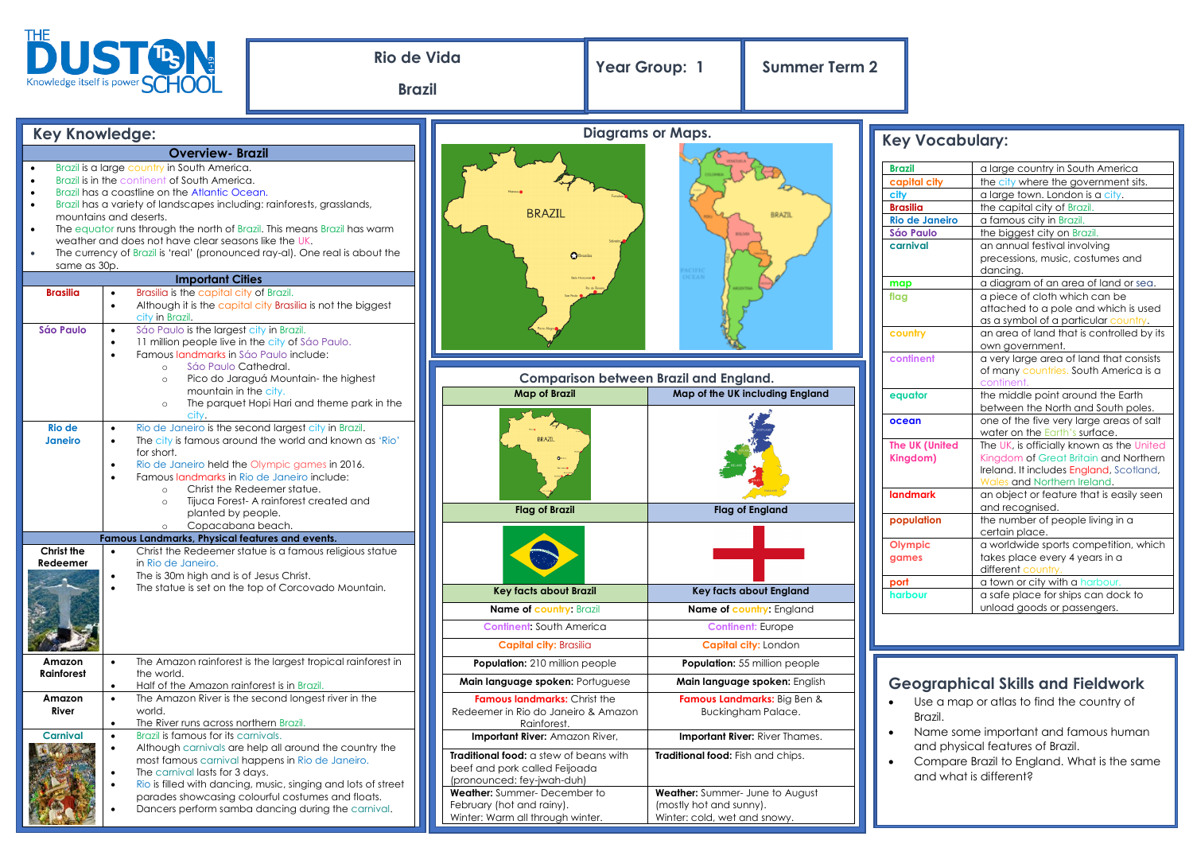| THE UST <sup>T</sup> B N <sub>o</sub>                                                                                                                                                                                                                                                                                                                                                                                                                                                                                                                                                                                                                                                                                                                     |                                                                                                                                                                                                                                                                                                                 | <b>Rio de Vida</b><br><b>Brazil</b>                                                                                                                                                                                                                                                                |                                                                                              | Year Group: 1                                                                                                                                                                                                              | <b>Summer Term 2</b>                 |                                                                                                                                                   |                                                                                                                                                                                                                                                                                                                                                                                                       |  |
|-----------------------------------------------------------------------------------------------------------------------------------------------------------------------------------------------------------------------------------------------------------------------------------------------------------------------------------------------------------------------------------------------------------------------------------------------------------------------------------------------------------------------------------------------------------------------------------------------------------------------------------------------------------------------------------------------------------------------------------------------------------|-----------------------------------------------------------------------------------------------------------------------------------------------------------------------------------------------------------------------------------------------------------------------------------------------------------------|----------------------------------------------------------------------------------------------------------------------------------------------------------------------------------------------------------------------------------------------------------------------------------------------------|----------------------------------------------------------------------------------------------|----------------------------------------------------------------------------------------------------------------------------------------------------------------------------------------------------------------------------|--------------------------------------|---------------------------------------------------------------------------------------------------------------------------------------------------|-------------------------------------------------------------------------------------------------------------------------------------------------------------------------------------------------------------------------------------------------------------------------------------------------------------------------------------------------------------------------------------------------------|--|
|                                                                                                                                                                                                                                                                                                                                                                                                                                                                                                                                                                                                                                                                                                                                                           |                                                                                                                                                                                                                                                                                                                 |                                                                                                                                                                                                                                                                                                    |                                                                                              |                                                                                                                                                                                                                            |                                      |                                                                                                                                                   |                                                                                                                                                                                                                                                                                                                                                                                                       |  |
| <b>Key Knowledge:</b>                                                                                                                                                                                                                                                                                                                                                                                                                                                                                                                                                                                                                                                                                                                                     |                                                                                                                                                                                                                                                                                                                 |                                                                                                                                                                                                                                                                                                    | <b>Diagrams or Maps.</b>                                                                     |                                                                                                                                                                                                                            |                                      | <b>Key Vocabulary:</b>                                                                                                                            |                                                                                                                                                                                                                                                                                                                                                                                                       |  |
| <b>Overview-Brazil</b><br>Brazil is a large country in South America.<br>Brazil is in the continent of South America.<br>$\bullet$<br>Brazil has a coastline on the Atlantic Ocean.<br>$\bullet$<br>Brazil has a variety of landscapes including: rainforests, grasslands,<br>$\bullet$<br>mountains and deserts.<br>The equator runs through the north of Brazil. This means Brazil has warm<br>weather and does not have clear seasons like the UK.<br>The currency of Brazil is 'real' (pronounced ray-al). One real is about the<br>same as 30p.<br><b>Important Cities</b><br>Brasilia is the capital city of Brazil.<br><b>Brasilia</b><br>$\bullet$<br>Although it is the capital city Brasilia is not the biggest<br>$\bullet$<br>city in Brazil. |                                                                                                                                                                                                                                                                                                                 |                                                                                                                                                                                                                                                                                                    | <b>BRAZIL</b><br><b>BRAZIL</b><br>Brasilia<br><b>Belo Horizonte</b>                          |                                                                                                                                                                                                                            |                                      | <b>Brazil</b><br>capital city<br>city<br><b>Brasilia</b><br><b>Rio de Janeiro</b><br><b>Sáo Paulo</b><br>carnival<br>map<br>flag                  | a large country in South America<br>the city where the government sits.<br>a large town. London is a city.<br>the capital city of Brazil.<br>a famous city in Brazil.<br>the biggest city on Brazil.<br>an annual festival involving<br>precessions, music, costumes and<br>dancina.<br>a diagram of an area of land or sea.<br>a piece of cloth which can be<br>attached to a pole and which is used |  |
| <b>Sáo Paulo</b>                                                                                                                                                                                                                                                                                                                                                                                                                                                                                                                                                                                                                                                                                                                                          | Sáo Paulo is the largest city in Brazil.<br>11 million people live in the city of Sáo Paulo.<br>Famous landmarks in Sáo Paulo include:<br>Sáo Paulo Cathedral.<br>$\circ$<br>Pico do Jaraguá Mountain-the highest<br>$\circ$<br>mountain in the city.<br>The parquet Hopi Hari and theme park in the<br>$\circ$ |                                                                                                                                                                                                                                                                                                    |                                                                                              |                                                                                                                                                                                                                            |                                      | country<br>continent                                                                                                                              | as a symbol of a particular country.<br>an area of land that is controlled by its<br>own government.<br>a very large area of land that consists<br>of many countries. South America is a                                                                                                                                                                                                              |  |
|                                                                                                                                                                                                                                                                                                                                                                                                                                                                                                                                                                                                                                                                                                                                                           |                                                                                                                                                                                                                                                                                                                 |                                                                                                                                                                                                                                                                                                    | <b>Comparison between Brazil and England.</b>                                                |                                                                                                                                                                                                                            |                                      |                                                                                                                                                   | continent.                                                                                                                                                                                                                                                                                                                                                                                            |  |
|                                                                                                                                                                                                                                                                                                                                                                                                                                                                                                                                                                                                                                                                                                                                                           |                                                                                                                                                                                                                                                                                                                 |                                                                                                                                                                                                                                                                                                    | <b>Map of Brazil</b>                                                                         |                                                                                                                                                                                                                            | Map of the UK including England      | equator                                                                                                                                           | the middle point around the Earth<br>between the North and South poles.                                                                                                                                                                                                                                                                                                                               |  |
| <b>Rio de</b><br><b>Janeiro</b>                                                                                                                                                                                                                                                                                                                                                                                                                                                                                                                                                                                                                                                                                                                           | $\bullet$<br>$\bullet$<br>for short.<br>$\circ$                                                                                                                                                                                                                                                                 | city.<br>Rio de Janeiro is the second largest city in Brazil.<br>The city is famous around the world and known as 'Rio'<br>Rio de Janeiro held the Olympic games in 2016.<br>Famous landmarks in Rio de Janeiro include:<br>Christ the Redeemer statue.<br>Tijuca Forest- A rainforest created and |                                                                                              |                                                                                                                                                                                                                            |                                      | ocean<br>The UK (United<br>Kingdom)<br><b>landmark</b>                                                                                            | one of the five very large areas of salt<br>water on the Earth's surface.<br>The UK, is officially known as the United<br>Kingdom of Great Britain and Northern<br>Ireland. It includes England, Scotland,<br>Wales and Northern Ireland.<br>an object or feature that is easily seen                                                                                                                 |  |
|                                                                                                                                                                                                                                                                                                                                                                                                                                                                                                                                                                                                                                                                                                                                                           | planted by people.                                                                                                                                                                                                                                                                                              |                                                                                                                                                                                                                                                                                                    | <b>Flag of Brazil</b>                                                                        |                                                                                                                                                                                                                            | Flag of England                      | population                                                                                                                                        | and recognised.<br>the number of people living in a                                                                                                                                                                                                                                                                                                                                                   |  |
| Christ the<br>Redeemer                                                                                                                                                                                                                                                                                                                                                                                                                                                                                                                                                                                                                                                                                                                                    | Copacabana beach.<br>$\circ$<br>Famous Landmarks, Physical features and events.<br>$\bullet$<br>in Rio de Janeiro.<br>The is 30m high and is of Jesus Christ.                                                                                                                                                   | Christ the Redeemer statue is a famous religious statue                                                                                                                                                                                                                                            |                                                                                              |                                                                                                                                                                                                                            |                                      | Olympic<br>games                                                                                                                                  | certain place.<br>a worldwide sports competition, which<br>takes place every 4 years in a<br>different country.                                                                                                                                                                                                                                                                                       |  |
|                                                                                                                                                                                                                                                                                                                                                                                                                                                                                                                                                                                                                                                                                                                                                           |                                                                                                                                                                                                                                                                                                                 | The statue is set on the top of Corcovado Mountain.                                                                                                                                                                                                                                                | <b>Key facts about Brazil</b>                                                                |                                                                                                                                                                                                                            | Key facts about England              | port<br>harbour                                                                                                                                   | a town or city with a harbour.<br>a safe place for ships can dock to                                                                                                                                                                                                                                                                                                                                  |  |
|                                                                                                                                                                                                                                                                                                                                                                                                                                                                                                                                                                                                                                                                                                                                                           |                                                                                                                                                                                                                                                                                                                 |                                                                                                                                                                                                                                                                                                    | <b>Name of country: Brazil</b>                                                               |                                                                                                                                                                                                                            | Name of country: England             |                                                                                                                                                   | unload goods or passengers.                                                                                                                                                                                                                                                                                                                                                                           |  |
|                                                                                                                                                                                                                                                                                                                                                                                                                                                                                                                                                                                                                                                                                                                                                           |                                                                                                                                                                                                                                                                                                                 |                                                                                                                                                                                                                                                                                                    | <b>Continent: South America</b>                                                              |                                                                                                                                                                                                                            | <b>Continent: Europe</b>             |                                                                                                                                                   |                                                                                                                                                                                                                                                                                                                                                                                                       |  |
|                                                                                                                                                                                                                                                                                                                                                                                                                                                                                                                                                                                                                                                                                                                                                           |                                                                                                                                                                                                                                                                                                                 |                                                                                                                                                                                                                                                                                                    | <b>Capital city: Brasilia</b>                                                                |                                                                                                                                                                                                                            | Capital city: London                 |                                                                                                                                                   |                                                                                                                                                                                                                                                                                                                                                                                                       |  |
| Amazon                                                                                                                                                                                                                                                                                                                                                                                                                                                                                                                                                                                                                                                                                                                                                    |                                                                                                                                                                                                                                                                                                                 | The Amazon rainforest is the largest tropical rainforest in                                                                                                                                                                                                                                        | <b>Population:</b> 210 million people                                                        |                                                                                                                                                                                                                            | <b>Population:</b> 55 million people |                                                                                                                                                   |                                                                                                                                                                                                                                                                                                                                                                                                       |  |
| <b>Rainforest</b>                                                                                                                                                                                                                                                                                                                                                                                                                                                                                                                                                                                                                                                                                                                                         | the world.<br>Half of the Amazon rainforest is in Brazil.<br>$\bullet$                                                                                                                                                                                                                                          |                                                                                                                                                                                                                                                                                                    | Main language spoken: Portuguese                                                             |                                                                                                                                                                                                                            | Main language spoken: English        |                                                                                                                                                   | <b>Geographical Skills and Fieldwork</b>                                                                                                                                                                                                                                                                                                                                                              |  |
| Amazon<br>River                                                                                                                                                                                                                                                                                                                                                                                                                                                                                                                                                                                                                                                                                                                                           | $\bullet$<br>world.<br>The River runs across northern Brazil.<br>$\bullet$                                                                                                                                                                                                                                      | The Amazon River is the second longest river in the                                                                                                                                                                                                                                                | Rainforest.                                                                                  | Famous Landmarks: Big Ben &<br><b>Famous landmarks:</b> Christ the<br>Use a map or atlas to find the country of<br><b>Buckingham Palace.</b><br>Redeemer in Rio do Janeiro & Amazon<br>Brazil.                             |                                      |                                                                                                                                                   |                                                                                                                                                                                                                                                                                                                                                                                                       |  |
| <b>Carnival</b>                                                                                                                                                                                                                                                                                                                                                                                                                                                                                                                                                                                                                                                                                                                                           | Brazil is famous for its carnivals.<br>$\bullet$<br>Although carnivals are help all around the country the<br>most famous carnival happens in Rio de Janeiro.<br>The carnival lasts for 3 days.<br>Rio is filled with dancing, music, singing and lots of street                                                |                                                                                                                                                                                                                                                                                                    | (pronounced: fey-jwah-duh)                                                                   | Important River: Amazon River,<br>Important River: River Thames.<br>Traditional food: a stew of beans with<br>Traditional food: Fish and chips.<br>beef and pork called Feijoada<br><b>Weather:</b> Summer- June to August |                                      | Name some important and famous human<br>and physical features of Brazil.<br>Compare Brazil to England. What is the same<br>and what is different? |                                                                                                                                                                                                                                                                                                                                                                                                       |  |
|                                                                                                                                                                                                                                                                                                                                                                                                                                                                                                                                                                                                                                                                                                                                                           |                                                                                                                                                                                                                                                                                                                 | parades showcasing colourful costumes and floats.<br>Dancers perform samba dancing during the carnival.                                                                                                                                                                                            | Weather: Summer-December to<br>February (hot and rainy).<br>Winter: Warm all through winter. | (mostly hot and sunny).<br>Winter: cold, wet and snowy.                                                                                                                                                                    |                                      |                                                                                                                                                   |                                                                                                                                                                                                                                                                                                                                                                                                       |  |